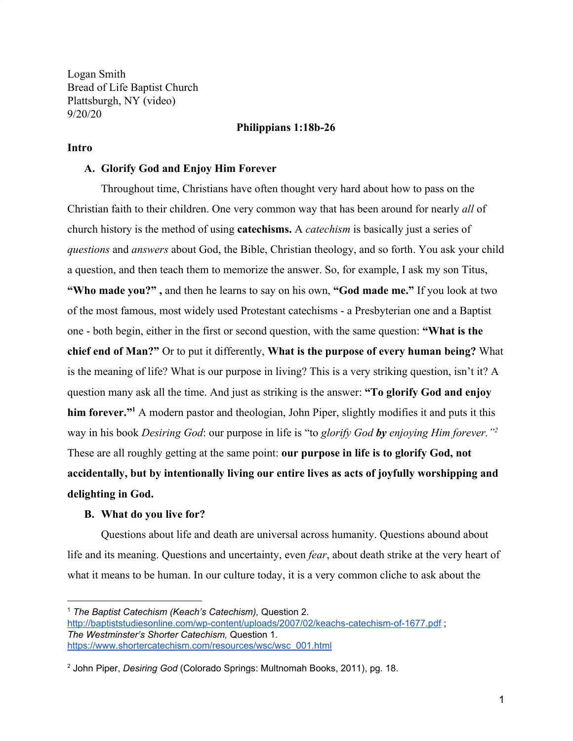Logan Smith Bread of Life Baptist Church Plattsburgh, NY (video) 9/20/20

### **Philippians 1:18b-26**

### **Intro**

### **A. Glorify God and Enjoy Him Forever**

Throughout time, Christians have often thought very hard about how to pass on the Christian faith to their children. One very common way that has been around for nearly *all* of church history is the method of using **catechisms.** A *catechism* is basically just a series of *questions* and *answers* about God, the Bible, Christian theology, and so forth. You ask your child a question, and then teach them to memorize the answer. So, for example, I ask my son Titus, **"Who made you?" ,** and then he learns to say on his own, **"God made me."** If you look at two of the most famous, most widely used Protestant catechisms - a Presbyterian one and a Baptist one - both begin, either in the first or second question, with the same question: **"What is the chief end of Man?"** Or to put it differently, **What is the purpose of every human being?** What is the meaning of life? What is our purpose in living? This is a very striking question, isn't it? A question many ask all the time. And just as striking is the answer: **"To glorify God and enjoy him forever.**"<sup>1</sup> A modern pastor and theologian, John Piper, slightly modifies it and puts it this way in his book *Desiring God*: our purpose in life is "to *glorify God by enjoying Him forever."<sup>2</sup>* These are all roughly getting at the same point: **our purpose in life is to glorify God, not accidentally, but by intentionally living our entire lives as acts of joyfully worshipping and delighting in God.**

## **B. What do you live for?**

Questions about life and death are universal across humanity. Questions abound about life and its meaning. Questions and uncertainty, even *fear*, about death strike at the very heart of what it means to be human. In our culture today, it is a very common cliche to ask about the

<sup>1</sup> *The Baptist Catechism (Keach's Catechism),* Question 2. <http://baptiststudiesonline.com/wp-content/uploads/2007/02/keachs-catechism-of-1677.pdf> ; *The Westminster's Shorter Catechism,* Question 1. [https://www.shortercatechism.com/resources/wsc/wsc\\_001.html](https://www.shortercatechism.com/resources/wsc/wsc_001.html)

<sup>2</sup> John Piper, *Desiring God* (Colorado Springs: Multnomah Books, 2011), pg. 18.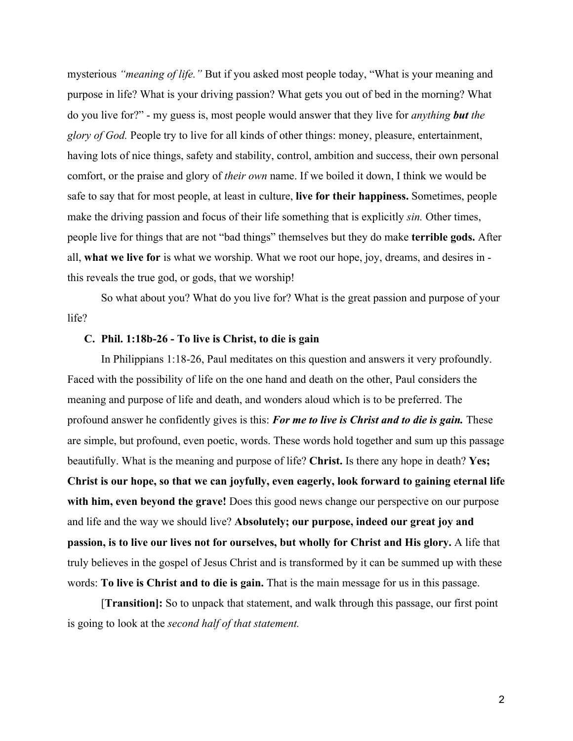mysterious *"meaning of life."* But if you asked most people today, "What is your meaning and purpose in life? What is your driving passion? What gets you out of bed in the morning? What do you live for?" - my guess is, most people would answer that they live for *anything but the glory of God.* People try to live for all kinds of other things: money, pleasure, entertainment, having lots of nice things, safety and stability, control, ambition and success, their own personal comfort, or the praise and glory of *their own* name. If we boiled it down, I think we would be safe to say that for most people, at least in culture, **live for their happiness.** Sometimes, people make the driving passion and focus of their life something that is explicitly *sin.* Other times, people live for things that are not "bad things" themselves but they do make **terrible gods.** After all, **what we live for** is what we worship. What we root our hope, joy, dreams, and desires in this reveals the true god, or gods, that we worship!

So what about you? What do you live for? What is the great passion and purpose of your life?

## **C. Phil. 1:18b-26 - To live is Christ, to die is gain**

In Philippians 1:18-26, Paul meditates on this question and answers it very profoundly. Faced with the possibility of life on the one hand and death on the other, Paul considers the meaning and purpose of life and death, and wonders aloud which is to be preferred. The profound answer he confidently gives is this: *For me to live is Christ and to die is gain.* These are simple, but profound, even poetic, words. These words hold together and sum up this passage beautifully. What is the meaning and purpose of life? **Christ.** Is there any hope in death? **Yes; Christ is our hope, so that we can joyfully, even eagerly, look forward to gaining eternal life** with him, even beyond the grave! Does this good news change our perspective on our purpose and life and the way we should live? **Absolutely; our purpose, indeed our great joy and passion, is to live our lives not for ourselves, but wholly for Christ and His glory.** A life that truly believes in the gospel of Jesus Christ and is transformed by it can be summed up with these words: **To live is Christ and to die is gain.** That is the main message for us in this passage.

[**Transition]:** So to unpack that statement, and walk through this passage, our first point is going to look at the *second half of that statement.*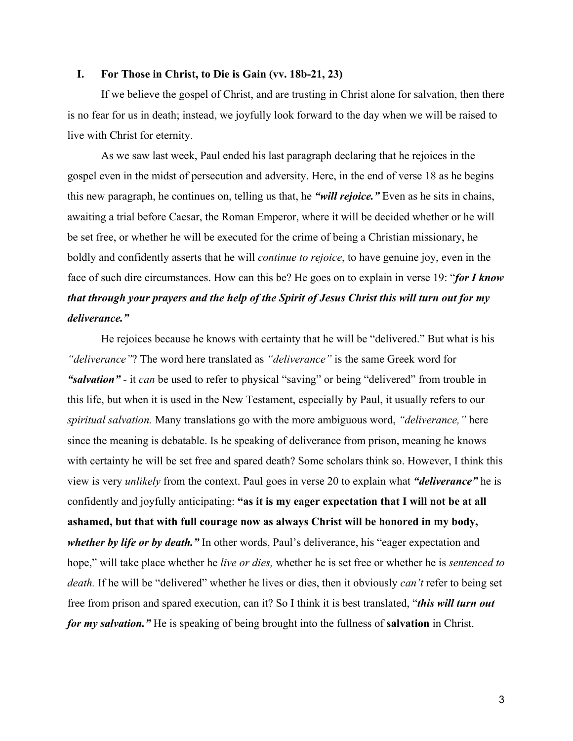### **I. For Those in Christ, to Die is Gain (vv. 18b-21, 23)**

If we believe the gospel of Christ, and are trusting in Christ alone for salvation, then there is no fear for us in death; instead, we joyfully look forward to the day when we will be raised to live with Christ for eternity.

As we saw last week, Paul ended his last paragraph declaring that he rejoices in the gospel even in the midst of persecution and adversity. Here, in the end of verse 18 as he begins this new paragraph, he continues on, telling us that, he *"will rejoice."* Even as he sits in chains, awaiting a trial before Caesar, the Roman Emperor, where it will be decided whether or he will be set free, or whether he will be executed for the crime of being a Christian missionary, he boldly and confidently asserts that he will *continue to rejoice*, to have genuine joy, even in the face of such dire circumstances. How can this be? He goes on to explain in verse 19: "*for I know that through your prayers and the help of the Spirit of Jesus Christ this will turn out for my deliverance."*

He rejoices because he knows with certainty that he will be "delivered." But what is his *"deliverance"*? The word here translated as *"deliverance"* is the same Greek word for *"salvation"* - it *can* be used to refer to physical "saving" or being "delivered" from trouble in this life, but when it is used in the New Testament, especially by Paul, it usually refers to our *spiritual salvation.* Many translations go with the more ambiguous word, *"deliverance,"* here since the meaning is debatable. Is he speaking of deliverance from prison, meaning he knows with certainty he will be set free and spared death? Some scholars think so. However, I think this view is very *unlikely* from the context. Paul goes in verse 20 to explain what *"deliverance"* he is confidently and joyfully anticipating: **"as it is my eager expectation that I will not be at all ashamed, but that with full courage now as always Christ will be honored in my body,** whether by life or by death." In other words, Paul's deliverance, his "eager expectation and hope," will take place whether he *live or dies*, whether he is set free or whether he is *sentenced to death.* If he will be "delivered" whether he lives or dies, then it obviously *can't* refer to being set free from prison and spared execution, can it? So I think it is best translated, "*this will turn out for my salvation."* He is speaking of being brought into the fullness of **salvation** in Christ.

3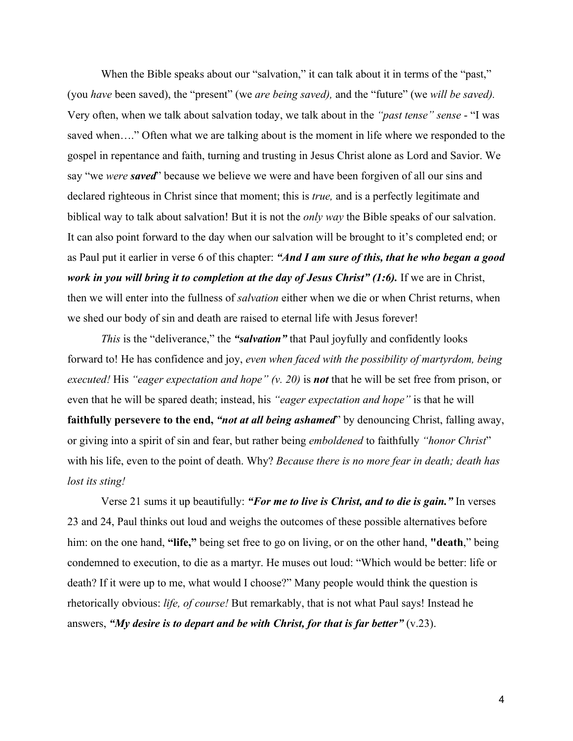When the Bible speaks about our "salvation," it can talk about it in terms of the "past," (you *have* been saved), the "present" (we *are being saved),* and the "future" (we *will be saved).* Very often, when we talk about salvation today, we talk about in the *"past tense" sense* - "I was saved when…." Often what we are talking about is the moment in life where we responded to the gospel in repentance and faith, turning and trusting in Jesus Christ alone as Lord and Savior. We say "we *were saved*" because we believe we were and have been forgiven of all our sins and declared righteous in Christ since that moment; this is *true,* and is a perfectly legitimate and biblical way to talk about salvation! But it is not the *only way* the Bible speaks of our salvation. It can also point forward to the day when our salvation will be brought to it's completed end; or as Paul put it earlier in verse 6 of this chapter: *"And I am sure of this, that he who began a good work in you will bring it to completion at the day of Jesus Christ" (1:6).* If we are in Christ, then we will enter into the fullness of *salvation* either when we die or when Christ returns, when we shed our body of sin and death are raised to eternal life with Jesus forever!

*This* is the "deliverance," the "salvation" that Paul joyfully and confidently looks forward to! He has confidence and joy, *even when faced with the possibility of martyrdom, being executed!* His *"eager expectation and hope" (v. 20)* is *not* that he will be set free from prison, or even that he will be spared death; instead, his *"eager expectation and hope"* is that he will **faithfully persevere to the end,** *"not at all being ashamed*" by denouncing Christ, falling away, or giving into a spirit of sin and fear, but rather being *emboldened* to faithfully *"honor Christ*" with his life, even to the point of death. Why? *Because there is no more fear in death; death has lost its sting!*

Verse 21 sums it up beautifully: *"For me to live is Christ, and to die is gain."* In verses 23 and 24, Paul thinks out loud and weighs the outcomes of these possible alternatives before him: on the one hand, **"life,"** being set free to go on living, or on the other hand, **"death**," being condemned to execution, to die as a martyr. He muses out loud: "Which would be better: life or death? If it were up to me, what would I choose?" Many people would think the question is rhetorically obvious: *life, of course!* But remarkably, that is not what Paul says! Instead he answers, *"My desire is to depart and be with Christ, for that is far better"* (v.23).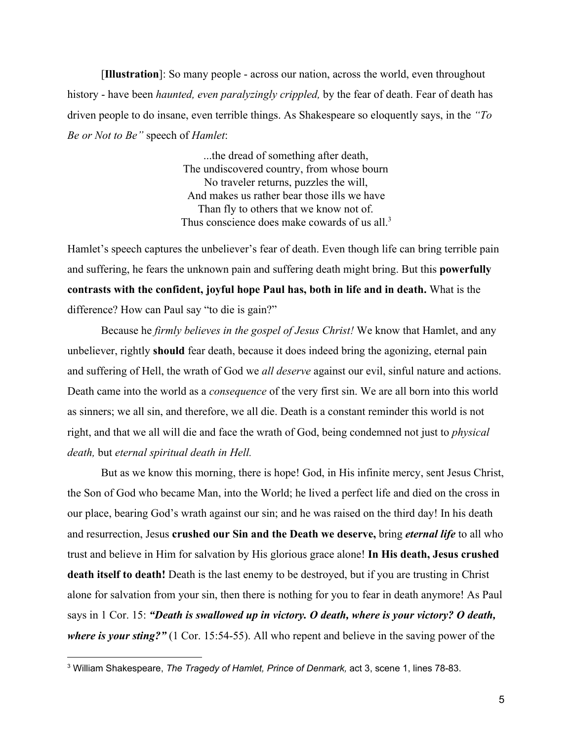[**Illustration**]: So many people - across our nation, across the world, even throughout history - have been *haunted, even paralyzingly crippled,* by the fear of death. Fear of death has driven people to do insane, even terrible things. As Shakespeare so eloquently says, in the *"To Be or Not to Be"* speech of *Hamlet*:

> ...the dread of something after death, The undiscovered country, from whose bourn No traveler returns, puzzles the will, And makes us rather bear those ills we have Than fly to others that we know not of. Thus conscience does make cowards of us all.<sup>3</sup>

Hamlet's speech captures the unbeliever's fear of death. Even though life can bring terrible pain and suffering, he fears the unknown pain and suffering death might bring. But this **powerfully contrasts with the confident, joyful hope Paul has, both in life and in death.** What is the difference? How can Paul say "to die is gain?"

Because he *firmly believes in the gospel of Jesus Christ!* We know that Hamlet, and any unbeliever, rightly **should** fear death, because it does indeed bring the agonizing, eternal pain and suffering of Hell, the wrath of God we *all deserve* against our evil, sinful nature and actions. Death came into the world as a *consequence* of the very first sin. We are all born into this world as sinners; we all sin, and therefore, we all die. Death is a constant reminder this world is not right, and that we all will die and face the wrath of God, being condemned not just to *physical death,* but *eternal spiritual death in Hell.*

But as we know this morning, there is hope! God, in His infinite mercy, sent Jesus Christ, the Son of God who became Man, into the World; he lived a perfect life and died on the cross in our place, bearing God's wrath against our sin; and he was raised on the third day! In his death and resurrection, Jesus **crushed our Sin and the Death we deserve,** bring *eternal life* to all who trust and believe in Him for salvation by His glorious grace alone! **In His death, Jesus crushed death itself to death!** Death is the last enemy to be destroyed, but if you are trusting in Christ alone for salvation from your sin, then there is nothing for you to fear in death anymore! As Paul says in 1 Cor. 15: *"Death is swallowed up in victory. O death, where is your victory? O death, where is your sting?"* (1 Cor. 15:54-55). All who repent and believe in the saving power of the

<sup>3</sup> William Shakespeare, *The Tragedy of Hamlet, Prince of Denmark,* act 3, scene 1, lines 78-83.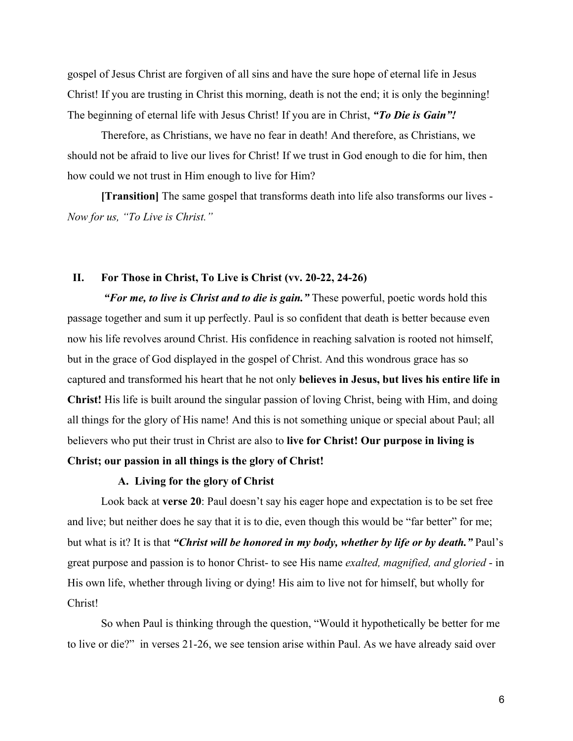gospel of Jesus Christ are forgiven of all sins and have the sure hope of eternal life in Jesus Christ! If you are trusting in Christ this morning, death is not the end; it is only the beginning! The beginning of eternal life with Jesus Christ! If you are in Christ, *"To Die is Gain"!*

Therefore, as Christians, we have no fear in death! And therefore, as Christians, we should not be afraid to live our lives for Christ! If we trust in God enough to die for him, then how could we not trust in Him enough to live for Him?

**[Transition]** The same gospel that transforms death into life also transforms our lives - *Now for us, "To Live is Christ."*

# **II. For Those in Christ, To Live is Christ (vv. 20-22, 24-26)**

*"For me, to live is Christ and to die is gain."* These powerful, poetic words hold this passage together and sum it up perfectly. Paul is so confident that death is better because even now his life revolves around Christ. His confidence in reaching salvation is rooted not himself, but in the grace of God displayed in the gospel of Christ. And this wondrous grace has so captured and transformed his heart that he not only **believes in Jesus, but lives his entire life in Christ!** His life is built around the singular passion of loving Christ, being with Him, and doing all things for the glory of His name! And this is not something unique or special about Paul; all believers who put their trust in Christ are also to **live for Christ! Our purpose in living is**

# **Christ; our passion in all things is the glory of Christ!**

## **A. Living for the glory of Christ**

Look back at **verse 20**: Paul doesn't say his eager hope and expectation is to be set free and live; but neither does he say that it is to die, even though this would be "far better" for me; but what is it? It is that "Christ will be honored in my body, whether by life or by death." Paul's great purpose and passion is to honor Christ- to see His name *exalted, magnified, and gloried* - in His own life, whether through living or dying! His aim to live not for himself, but wholly for Christ!

So when Paul is thinking through the question, "Would it hypothetically be better for me to live or die?" in verses 21-26, we see tension arise within Paul. As we have already said over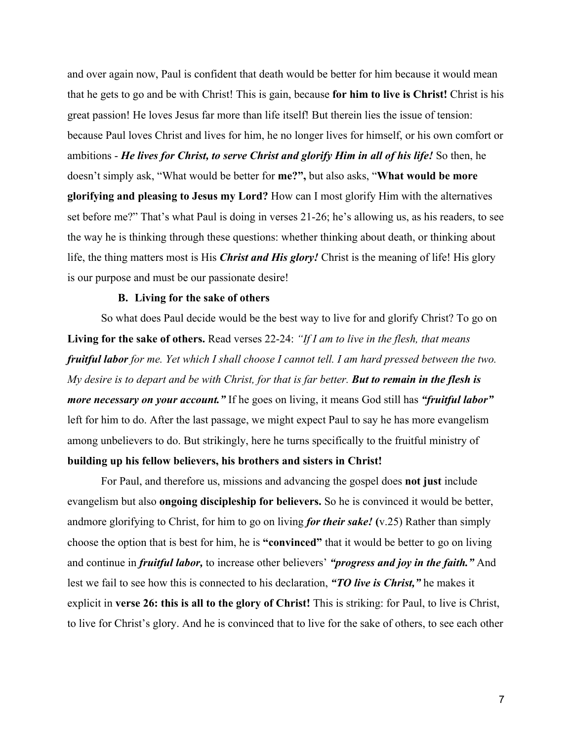and over again now, Paul is confident that death would be better for him because it would mean that he gets to go and be with Christ! This is gain, because **for him to live is Christ!** Christ is his great passion! He loves Jesus far more than life itself! But therein lies the issue of tension: because Paul loves Christ and lives for him, he no longer lives for himself, or his own comfort or ambitions - *He lives for Christ, to serve Christ and glorify Him in all of his life!* So then, he doesn't simply ask, "What would be better for **me?",** but also asks, "**What would be more glorifying and pleasing to Jesus my Lord?** How can I most glorify Him with the alternatives set before me?" That's what Paul is doing in verses 21-26; he's allowing us, as his readers, to see the way he is thinking through these questions: whether thinking about death, or thinking about life, the thing matters most is His *Christ and His glory!* Christ is the meaning of life! His glory is our purpose and must be our passionate desire!

## **B. Living for the sake of others**

So what does Paul decide would be the best way to live for and glorify Christ? To go on **Living for the sake of others.** Read verses 22-24: *"If I am to live in the flesh, that means fruitful labor for me. Yet which I shall choose I cannot tell. I am hard pressed between the two. My desire is to depart and be with Christ, for that is far better. But to remain in the flesh is more necessary on your account."* If he goes on living, it means God still has *"fruitful labor"* left for him to do. After the last passage, we might expect Paul to say he has more evangelism among unbelievers to do. But strikingly, here he turns specifically to the fruitful ministry of **building up his fellow believers, his brothers and sisters in Christ!**

For Paul, and therefore us, missions and advancing the gospel does **not just** include evangelism but also **ongoing discipleship for believers.** So he is convinced it would be better, andmore glorifying to Christ, for him to go on living *for their sake!* **(**v.25) Rather than simply choose the option that is best for him, he is **"convinced"** that it would be better to go on living and continue in *fruitful labor,* to increase other believers' *"progress and joy in the faith."* And lest we fail to see how this is connected to his declaration, *"TO live is Christ,"* he makes it explicit in **verse 26: this is all to the glory of Christ!** This is striking: for Paul, to live is Christ, to live for Christ's glory. And he is convinced that to live for the sake of others, to see each other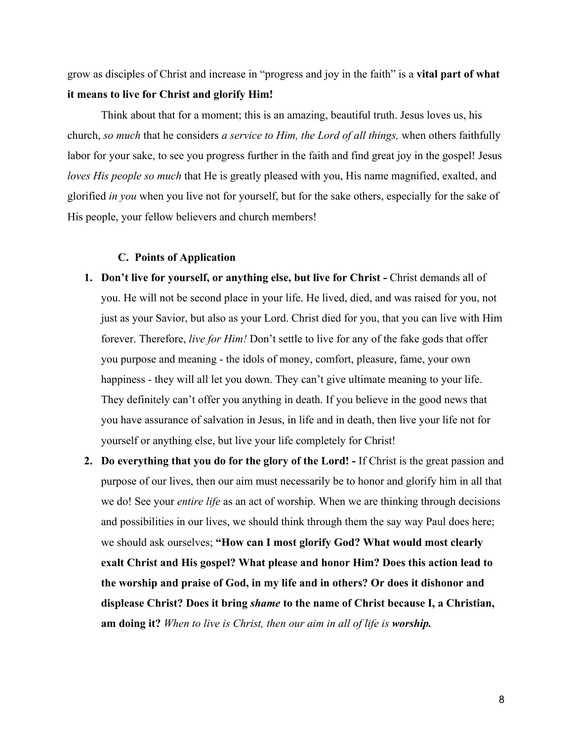grow as disciples of Christ and increase in "progress and joy in the faith" is a **vital part of what it means to live for Christ and glorify Him!**

Think about that for a moment; this is an amazing, beautiful truth. Jesus loves us, his church, *so much* that he considers *a service to Him, the Lord of all things,* when others faithfully labor for your sake, to see you progress further in the faith and find great joy in the gospel! Jesus *loves His people so much* that He is greatly pleased with you, His name magnified, exalted, and glorified *in you* when you live not for yourself, but for the sake others, especially for the sake of His people, your fellow believers and church members!

### **C. Points of Application**

- **1.** Don't live for yourself, or anything else, but live for Christ Christ demands all of you. He will not be second place in your life. He lived, died, and was raised for you, not just as your Savior, but also as your Lord. Christ died for you, that you can live with Him forever. Therefore, *live for Him!* Don't settle to live for any of the fake gods that offer you purpose and meaning - the idols of money, comfort, pleasure, fame, your own happiness - they will all let you down. They can't give ultimate meaning to your life. They definitely can't offer you anything in death. If you believe in the good news that you have assurance of salvation in Jesus, in life and in death, then live your life not for yourself or anything else, but live your life completely for Christ!
- **2. Do everything that you do for the glory of the Lord!** If Christ is the great passion and purpose of our lives, then our aim must necessarily be to honor and glorify him in all that we do! See your *entire life* as an act of worship. When we are thinking through decisions and possibilities in our lives, we should think through them the say way Paul does here; we should ask ourselves; **"How can I most glorify God? What would most clearly exalt Christ and His gospel? What please and honor Him? Does this action lead to the worship and praise of God, in my life and in others? Or does it dishonor and displease Christ? Does it bring** *shame* **to the name of Christ because I, a Christian, am doing it?** *When to live is Christ, then our aim in all of life is worship.*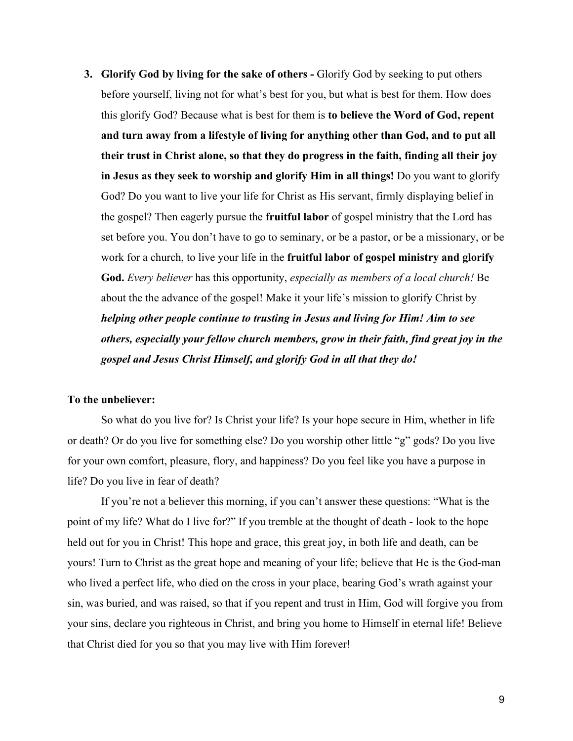**3. Glorify God by living for the sake of others -** Glorify God by seeking to put others before yourself, living not for what's best for you, but what is best for them. How does this glorify God? Because what is best for them is **to believe the Word of God, repent and turn away from a lifestyle of living for anything other than God, and to put all their trust in Christ alone, so that they do progress in the faith, finding all their joy in Jesus as they seek to worship and glorify Him in all things!** Do you want to glorify God? Do you want to live your life for Christ as His servant, firmly displaying belief in the gospel? Then eagerly pursue the **fruitful labor** of gospel ministry that the Lord has set before you. You don't have to go to seminary, or be a pastor, or be a missionary, or be work for a church, to live your life in the **fruitful labor of gospel ministry and glorify God.** *Every believer* has this opportunity, *especially as members of a local church!* Be about the the advance of the gospel! Make it your life's mission to glorify Christ by *helping other people continue to trusting in Jesus and living for Him! Aim to see others, especially your fellow church members, grow in their faith, find great joy in the gospel and Jesus Christ Himself, and glorify God in all that they do!*

## **To the unbeliever:**

So what do you live for? Is Christ your life? Is your hope secure in Him, whether in life or death? Or do you live for something else? Do you worship other little "g" gods? Do you live for your own comfort, pleasure, flory, and happiness? Do you feel like you have a purpose in life? Do you live in fear of death?

If you're not a believer this morning, if you can't answer these questions: "What is the point of my life? What do I live for?" If you tremble at the thought of death - look to the hope held out for you in Christ! This hope and grace, this great joy, in both life and death, can be yours! Turn to Christ as the great hope and meaning of your life; believe that He is the God-man who lived a perfect life, who died on the cross in your place, bearing God's wrath against your sin, was buried, and was raised, so that if you repent and trust in Him, God will forgive you from your sins, declare you righteous in Christ, and bring you home to Himself in eternal life! Believe that Christ died for you so that you may live with Him forever!